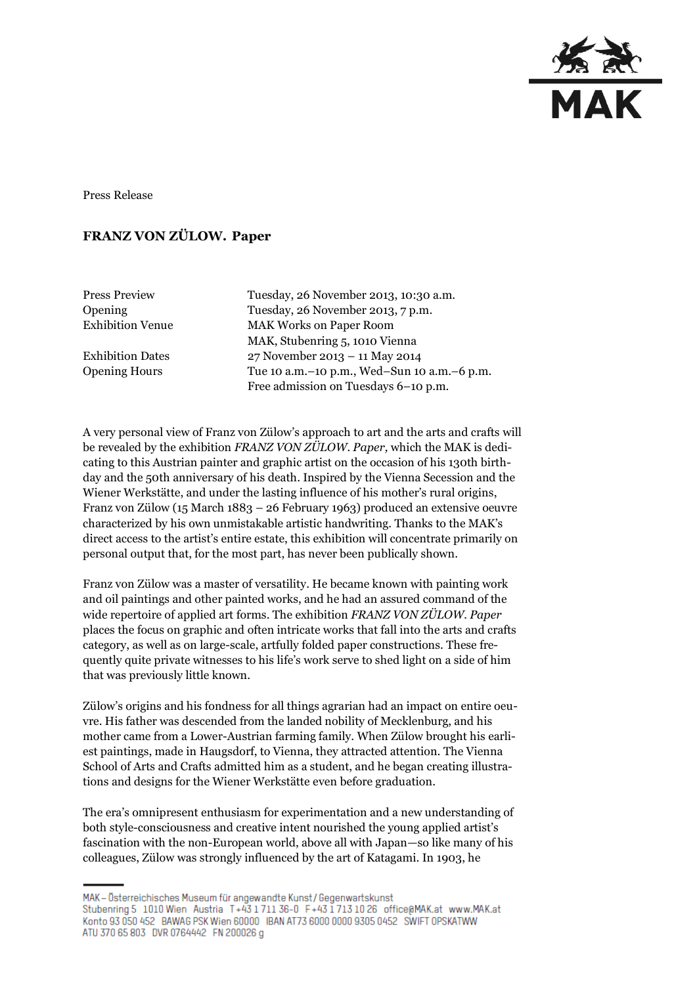

Press Release

## **FRANZ VON ZÜLOW. Paper**

Press Preview Tuesday, 26 November 2013, 10:30 a.m. Opening Tuesday, 26 November 2013, 7 p.m. Exhibition Venue MAK Works on Paper Room MAK, Stubenring 5, 1010 Vienna Exhibition Dates 27 November 2013 – 11 May 2014 Opening Hours Tue 10 a.m.–10 p.m., Wed–Sun 10 a.m.–6 p.m. Free admission on Tuesdays 6–10 p.m.

A very personal view of Franz von Zülow's approach to art and the arts and crafts will be revealed by the exhibition *FRANZ VON ZÜLOW. Paper,* which the MAK is dedicating to this Austrian painter and graphic artist on the occasion of his 130th birthday and the 50th anniversary of his death. Inspired by the Vienna Secession and the Wiener Werkstätte, and under the lasting influence of his mother's rural origins, Franz von Zülow (15 March 1883 – 26 February 1963) produced an extensive oeuvre characterized by his own unmistakable artistic handwriting. Thanks to the MAK's direct access to the artist's entire estate, this exhibition will concentrate primarily on personal output that, for the most part, has never been publically shown.

Franz von Zülow was a master of versatility. He became known with painting work and oil paintings and other painted works, and he had an assured command of the wide repertoire of applied art forms. The exhibition *FRANZ VON ZÜLOW. Paper*  places the focus on graphic and often intricate works that fall into the arts and crafts category, as well as on large-scale, artfully folded paper constructions. These frequently quite private witnesses to his life's work serve to shed light on a side of him that was previously little known.

Zülow's origins and his fondness for all things agrarian had an impact on entire oeuvre. His father was descended from the landed nobility of Mecklenburg, and his mother came from a Lower-Austrian farming family. When Zülow brought his earliest paintings, made in Haugsdorf, to Vienna, they attracted attention. The Vienna School of Arts and Crafts admitted him as a student, and he began creating illustrations and designs for the Wiener Werkstätte even before graduation.

The era's omnipresent enthusiasm for experimentation and a new understanding of both style-consciousness and creative intent nourished the young applied artist's fascination with the non-European world, above all with Japan—so like many of his colleagues, Zülow was strongly influenced by the art of Katagami. In 1903, he

MAK - Österreichisches Museum für angewandte Kunst / Gegenwartskunst Stubenring 5 1010 Wien Austria T+43 1711 36-0 F+43 1713 10 26 office@MAK.at www.MAK.at Konto 93 050 452 BAWAG PSK Wien 60000 BAN AT73 6000 0000 9305 0452 SWIFT OPSKATWW ATU 370 65 803 DVR 0764442 FN 200026 g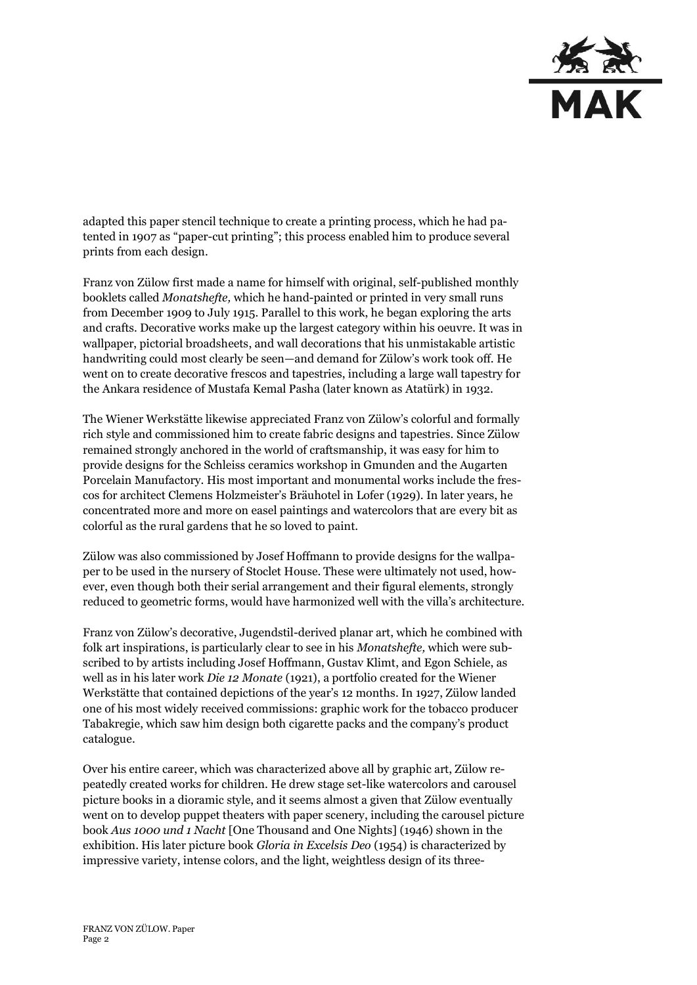

adapted this paper stencil technique to create a printing process, which he had patented in 1907 as "paper-cut printing"; this process enabled him to produce several prints from each design.

Franz von Zülow first made a name for himself with original, self-published monthly booklets called *Monatshefte,* which he hand-painted or printed in very small runs from December 1909 to July 1915. Parallel to this work, he began exploring the arts and crafts. Decorative works make up the largest category within his oeuvre. It was in wallpaper, pictorial broadsheets, and wall decorations that his unmistakable artistic handwriting could most clearly be seen—and demand for Zülow's work took off. He went on to create decorative frescos and tapestries, including a large wall tapestry for the Ankara residence of Mustafa Kemal Pasha (later known as Atatürk) in 1932.

The Wiener Werkstätte likewise appreciated Franz von Zülow's colorful and formally rich style and commissioned him to create fabric designs and tapestries. Since Zülow remained strongly anchored in the world of craftsmanship, it was easy for him to provide designs for the Schleiss ceramics workshop in Gmunden and the Augarten Porcelain Manufactory. His most important and monumental works include the frescos for architect Clemens Holzmeister's Bräuhotel in Lofer (1929). In later years, he concentrated more and more on easel paintings and watercolors that are every bit as colorful as the rural gardens that he so loved to paint.

Zülow was also commissioned by Josef Hoffmann to provide designs for the wallpaper to be used in the nursery of Stoclet House. These were ultimately not used, however, even though both their serial arrangement and their figural elements, strongly reduced to geometric forms, would have harmonized well with the villa's architecture.

Franz von Zülow's decorative, Jugendstil-derived planar art, which he combined with folk art inspirations, is particularly clear to see in his *Monatshefte,* which were subscribed to by artists including Josef Hoffmann, Gustav Klimt, and Egon Schiele, as well as in his later work *Die 12 Monate* (1921), a portfolio created for the Wiener Werkstätte that contained depictions of the year's 12 months. In 1927, Zülow landed one of his most widely received commissions: graphic work for the tobacco producer Tabakregie, which saw him design both cigarette packs and the company's product catalogue.

Over his entire career, which was characterized above all by graphic art, Zülow repeatedly created works for children. He drew stage set-like watercolors and carousel picture books in a dioramic style, and it seems almost a given that Zülow eventually went on to develop puppet theaters with paper scenery, including the carousel picture book *Aus 1000 und 1 Nacht* [One Thousand and One Nights] (1946) shown in the exhibition. His later picture book *Gloria in Excelsis Deo* (1954) is characterized by impressive variety, intense colors, and the light, weightless design of its three-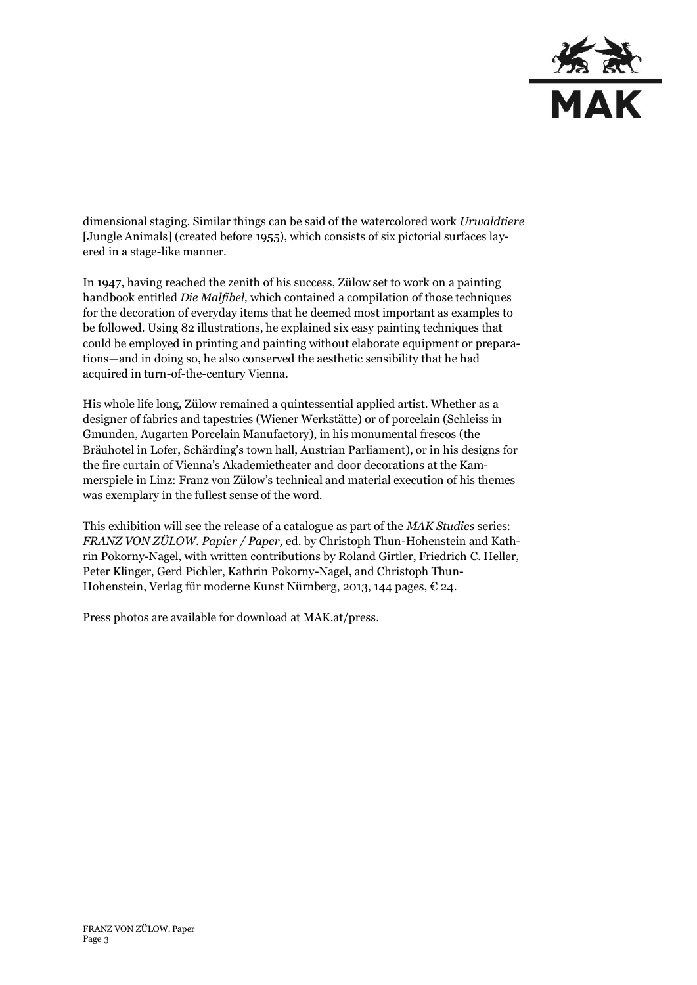

dimensional staging. Similar things can be said of the watercolored work *Urwaldtiere*  [Jungle Animals] (created before 1955), which consists of six pictorial surfaces layered in a stage-like manner.

In 1947, having reached the zenith of his success, Zülow set to work on a painting handbook entitled *Die Malfibel,* which contained a compilation of those techniques for the decoration of everyday items that he deemed most important as examples to be followed. Using 82 illustrations, he explained six easy painting techniques that could be employed in printing and painting without elaborate equipment or preparations—and in doing so, he also conserved the aesthetic sensibility that he had acquired in turn-of-the-century Vienna.

His whole life long, Zülow remained a quintessential applied artist. Whether as a designer of fabrics and tapestries (Wiener Werkstätte) or of porcelain (Schleiss in Gmunden, Augarten Porcelain Manufactory), in his monumental frescos (the Bräuhotel in Lofer, Schärding's town hall, Austrian Parliament), or in his designs for the fire curtain of Vienna's Akademietheater and door decorations at the Kammerspiele in Linz: Franz von Zülow's technical and material execution of his themes was exemplary in the fullest sense of the word.

This exhibition will see the release of a catalogue as part of the *MAK Studies* series: *FRANZ VON ZÜLOW. Papier / Paper,* ed. by Christoph Thun-Hohenstein and Kathrin Pokorny-Nagel, with written contributions by Roland Girtler, Friedrich C. Heller, Peter Klinger, Gerd Pichler, Kathrin Pokorny-Nagel, and Christoph Thun-Hohenstein, Verlag für moderne Kunst Nürnberg, 2013, 144 pages, € 24.

Press photos are available for download at MAK.at/press.